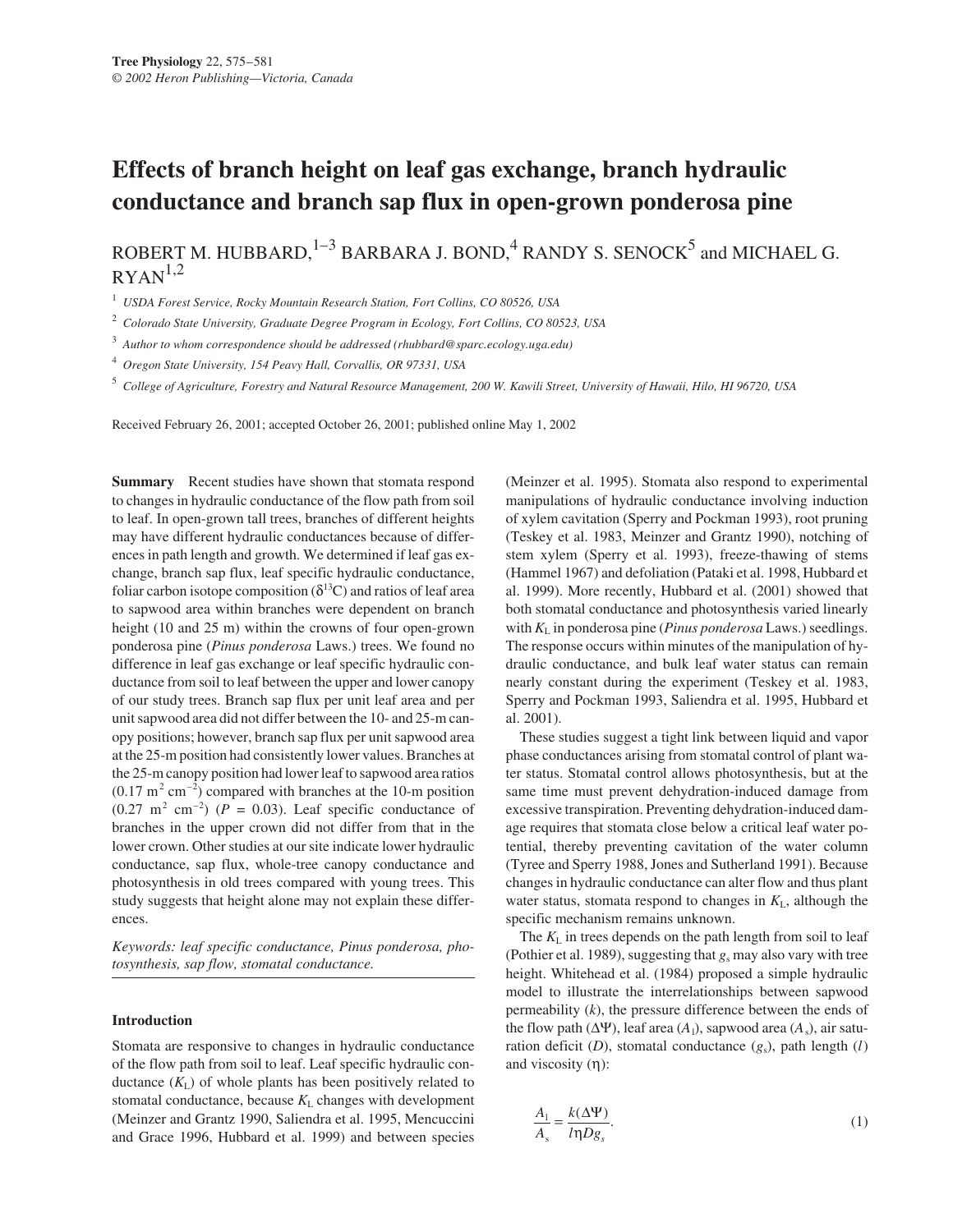# **Effects of branch height on leaf gas exchange, branch hydraulic conductance and branch sap flux in open-grown ponderosa pine**

ROBERT M. HUBBARD,  $1-3$  BARBARA J. BOND,<sup>4</sup> RANDY S. SENOCK<sup>5</sup> and MICHAEL G.  $RYAN<sup>1,2</sup>$ 

<sup>1</sup> *USDA Forest Service, Rocky Mountain Research Station, Fort Collins, CO 80526, USA*

<sup>2</sup> *Colorado State University, Graduate Degree Program in Ecology, Fort Collins, CO 80523, USA*

<sup>3</sup> *Author to whom correspondence should be addressed (rhubbard@sparc.ecology.uga.edu)*

<sup>4</sup> *Oregon State University, 154 Peavy Hall, Corvallis, OR 97331, USA*

<sup>5</sup> *College of Agriculture, Forestry and Natural Resource Management, 200 W. Kawili Street, University of Hawaii, Hilo, HI 96720, USA*

Received February 26, 2001; accepted October 26, 2001; published online May 1, 2002

**Summary** Recent studies have shown that stomata respond to changes in hydraulic conductance of the flow path from soil to leaf. In open-grown tall trees, branches of different heights may have different hydraulic conductances because of differences in path length and growth. We determined if leaf gas exchange, branch sap flux, leaf specific hydraulic conductance, foliar carbon isotope composition ( $\delta^{13}$ C) and ratios of leaf area to sapwood area within branches were dependent on branch height (10 and 25 m) within the crowns of four open-grown ponderosa pine (*Pinus ponderosa* Laws.) trees. We found no difference in leaf gas exchange or leaf specific hydraulic conductance from soil to leaf between the upper and lower canopy of our study trees. Branch sap flux per unit leaf area and per unit sapwood area did not differ between the 10- and 25-m canopy positions; however, branch sap flux per unit sapwood area at the 25-m position had consistently lower values. Branches at the 25-m canopy position had lower leaf to sapwood area ratios  $(0.17 \text{ m}^2 \text{ cm}^{-2})$  compared with branches at the 10-m position  $(0.27 \text{ m}^2 \text{ cm}^{-2})$  ( $P = 0.03$ ). Leaf specific conductance of branches in the upper crown did not differ from that in the lower crown. Other studies at our site indicate lower hydraulic conductance, sap flux, whole-tree canopy conductance and photosynthesis in old trees compared with young trees. This study suggests that height alone may not explain these differences.

*Keywords: leaf specific conductance, Pinus ponderosa, photosynthesis, sap flow, stomatal conductance.*

## **Introduction**

Stomata are responsive to changes in hydraulic conductance of the flow path from soil to leaf. Leaf specific hydraulic conductance  $(K_L)$  of whole plants has been positively related to stomatal conductance, because  $K<sub>L</sub>$  changes with development (Meinzer and Grantz 1990, Saliendra et al. 1995, Mencuccini and Grace 1996, Hubbard et al. 1999) and between species

(Meinzer et al. 1995). Stomata also respond to experimental manipulations of hydraulic conductance involving induction of xylem cavitation (Sperry and Pockman 1993), root pruning (Teskey et al. 1983, Meinzer and Grantz 1990), notching of stem xylem (Sperry et al. 1993), freeze-thawing of stems (Hammel 1967) and defoliation (Pataki et al. 1998, Hubbard et al. 1999). More recently, Hubbard et al. (2001) showed that both stomatal conductance and photosynthesis varied linearly with  $K_{\text{L}}$  in ponderosa pine (*Pinus ponderosa* Laws.) seedlings. The response occurs within minutes of the manipulation of hydraulic conductance, and bulk leaf water status can remain nearly constant during the experiment (Teskey et al. 1983, Sperry and Pockman 1993, Saliendra et al. 1995, Hubbard et al. 2001).

These studies suggest a tight link between liquid and vapor phase conductances arising from stomatal control of plant water status. Stomatal control allows photosynthesis, but at the same time must prevent dehydration-induced damage from excessive transpiration. Preventing dehydration-induced damage requires that stomata close below a critical leaf water potential, thereby preventing cavitation of the water column (Tyree and Sperry 1988, Jones and Sutherland 1991). Because changes in hydraulic conductance can alter flow and thus plant water status, stomata respond to changes in  $K<sub>L</sub>$ , although the specific mechanism remains unknown.

The  $K_L$  in trees depends on the path length from soil to leaf (Pothier et al. 1989), suggesting that *g*<sup>s</sup> may also vary with tree height. Whitehead et al. (1984) proposed a simple hydraulic model to illustrate the interrelationships between sapwood permeability (*k*), the pressure difference between the ends of the flow path ( $\Delta \Psi$ ), leaf area ( $A_1$ ), sapwood area ( $A_s$ ), air saturation deficit  $(D)$ , stomatal conductance  $(g_s)$ , path length  $(l)$ and viscosity (η):

$$
\frac{A_1}{A_s} = \frac{k(\Delta \Psi)}{l\eta Dg_s}.
$$
\n(1)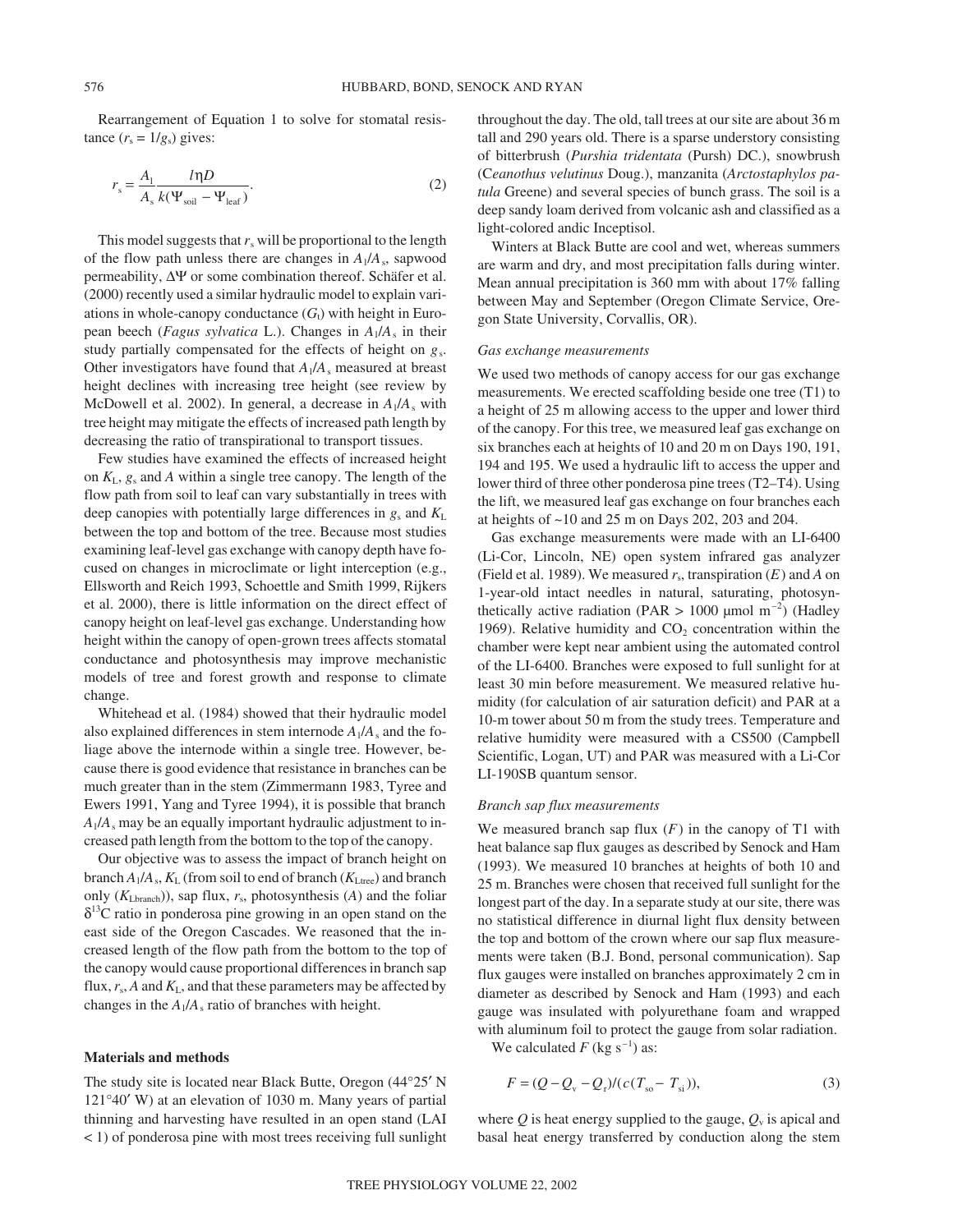Rearrangement of Equation 1 to solve for stomatal resistance  $(r_s = 1/g_s)$  gives:

$$
r_{\rm s} = \frac{A_{\rm l}}{A_{\rm s}} \frac{l \eta D}{k(\Psi_{\rm soil} - \Psi_{\rm leaf})}.
$$
 (2)

This model suggests that  $r_s$  will be proportional to the length of the flow path unless there are changes in  $A_1/A_s$ , sapwood permeability, ∆Ψ or some combination thereof. Schäfer et al. (2000) recently used a similar hydraulic model to explain variations in whole-canopy conductance  $(G_t)$  with height in European beech (*Fagus sylvatica* L.). Changes in *A*l/*A*<sup>s</sup> in their study partially compensated for the effects of height on *g*s. Other investigators have found that  $A_1/A_s$  measured at breast height declines with increasing tree height (see review by McDowell et al. 2002). In general, a decrease in  $A_1/A_s$  with tree height may mitigate the effects of increased path length by decreasing the ratio of transpirational to transport tissues.

Few studies have examined the effects of increased height on *K*L, *g*<sup>s</sup> and *A* within a single tree canopy. The length of the flow path from soil to leaf can vary substantially in trees with deep canopies with potentially large differences in *g*<sup>s</sup> and *K*<sup>L</sup> between the top and bottom of the tree. Because most studies examining leaf-level gas exchange with canopy depth have focused on changes in microclimate or light interception (e.g., Ellsworth and Reich 1993, Schoettle and Smith 1999, Rijkers et al. 2000), there is little information on the direct effect of canopy height on leaf-level gas exchange. Understanding how height within the canopy of open-grown trees affects stomatal conductance and photosynthesis may improve mechanistic models of tree and forest growth and response to climate change.

Whitehead et al. (1984) showed that their hydraulic model also explained differences in stem internode  $A_1/A_s$  and the foliage above the internode within a single tree. However, because there is good evidence that resistance in branches can be much greater than in the stem (Zimmermann 1983, Tyree and Ewers 1991, Yang and Tyree 1994), it is possible that branch  $A<sub>1</sub>/A<sub>s</sub>$  may be an equally important hydraulic adjustment to increased path length from the bottom to the top of the canopy.

Our objective was to assess the impact of branch height on branch  $A_1/A_s$ ,  $K_L$  (from soil to end of branch ( $K_L$ <sub>Ltree</sub>) and branch only (*K*Lbranch)), sap flux, *r*s, photosynthesis (*A*) and the foliar  $\delta^{13}$ C ratio in ponderosa pine growing in an open stand on the east side of the Oregon Cascades. We reasoned that the increased length of the flow path from the bottom to the top of the canopy would cause proportional differences in branch sap flux,  $r_s$ ,  $A$  and  $K_L$ , and that these parameters may be affected by changes in the  $A_1/A_s$  ratio of branches with height.

## **Materials and methods**

The study site is located near Black Butte, Oregon (44°25′ N 121°40′ W) at an elevation of 1030 m. Many years of partial thinning and harvesting have resulted in an open stand (LAI < 1) of ponderosa pine with most trees receiving full sunlight throughout the day. The old, tall trees at our site are about 36 m tall and 290 years old. There is a sparse understory consisting of bitterbrush (*Purshia tridentata* (Pursh) DC.), snowbrush (C*eanothus velutinus* Doug.), manzanita (*Arctostaphylos patula* Greene) and several species of bunch grass. The soil is a deep sandy loam derived from volcanic ash and classified as a light-colored andic Inceptisol.

Winters at Black Butte are cool and wet, whereas summers are warm and dry, and most precipitation falls during winter. Mean annual precipitation is 360 mm with about 17% falling between May and September (Oregon Climate Service, Oregon State University, Corvallis, OR).

#### *Gas exchange measurements*

We used two methods of canopy access for our gas exchange measurements. We erected scaffolding beside one tree (T1) to a height of 25 m allowing access to the upper and lower third of the canopy. For this tree, we measured leaf gas exchange on six branches each at heights of 10 and 20 m on Days 190, 191, 194 and 195. We used a hydraulic lift to access the upper and lower third of three other ponderosa pine trees (T2–T4). Using the lift, we measured leaf gas exchange on four branches each at heights of ~10 and 25 m on Days 202, 203 and 204.

Gas exchange measurements were made with an LI-6400 (Li-Cor, Lincoln, NE) open system infrared gas analyzer (Field et al. 1989). We measured  $r_s$ , transpiration  $(E)$  and  $A$  on 1-year-old intact needles in natural, saturating, photosynthetically active radiation (PAR  $> 1000$  µmol m<sup>-2</sup>) (Hadley 1969). Relative humidity and  $CO<sub>2</sub>$  concentration within the chamber were kept near ambient using the automated control of the LI-6400. Branches were exposed to full sunlight for at least 30 min before measurement. We measured relative humidity (for calculation of air saturation deficit) and PAR at a 10-m tower about 50 m from the study trees. Temperature and relative humidity were measured with a CS500 (Campbell Scientific, Logan, UT) and PAR was measured with a Li-Cor LI-190SB quantum sensor.

## *Branch sap flux measurements*

We measured branch sap flux  $(F)$  in the canopy of T1 with heat balance sap flux gauges as described by Senock and Ham (1993). We measured 10 branches at heights of both 10 and 25 m. Branches were chosen that received full sunlight for the longest part of the day. In a separate study at our site, there was no statistical difference in diurnal light flux density between the top and bottom of the crown where our sap flux measurements were taken (B.J. Bond, personal communication). Sap flux gauges were installed on branches approximately 2 cm in diameter as described by Senock and Ham (1993) and each gauge was insulated with polyurethane foam and wrapped with aluminum foil to protect the gauge from solar radiation.

We calculated  $F$  (kg s<sup>-1</sup>) as:

$$
F = (Q - Q_v - Q_r)/(c(T_{so} - T_{si})),
$$
\n(3)

where  $Q$  is heat energy supplied to the gauge,  $Q<sub>v</sub>$  is apical and basal heat energy transferred by conduction along the stem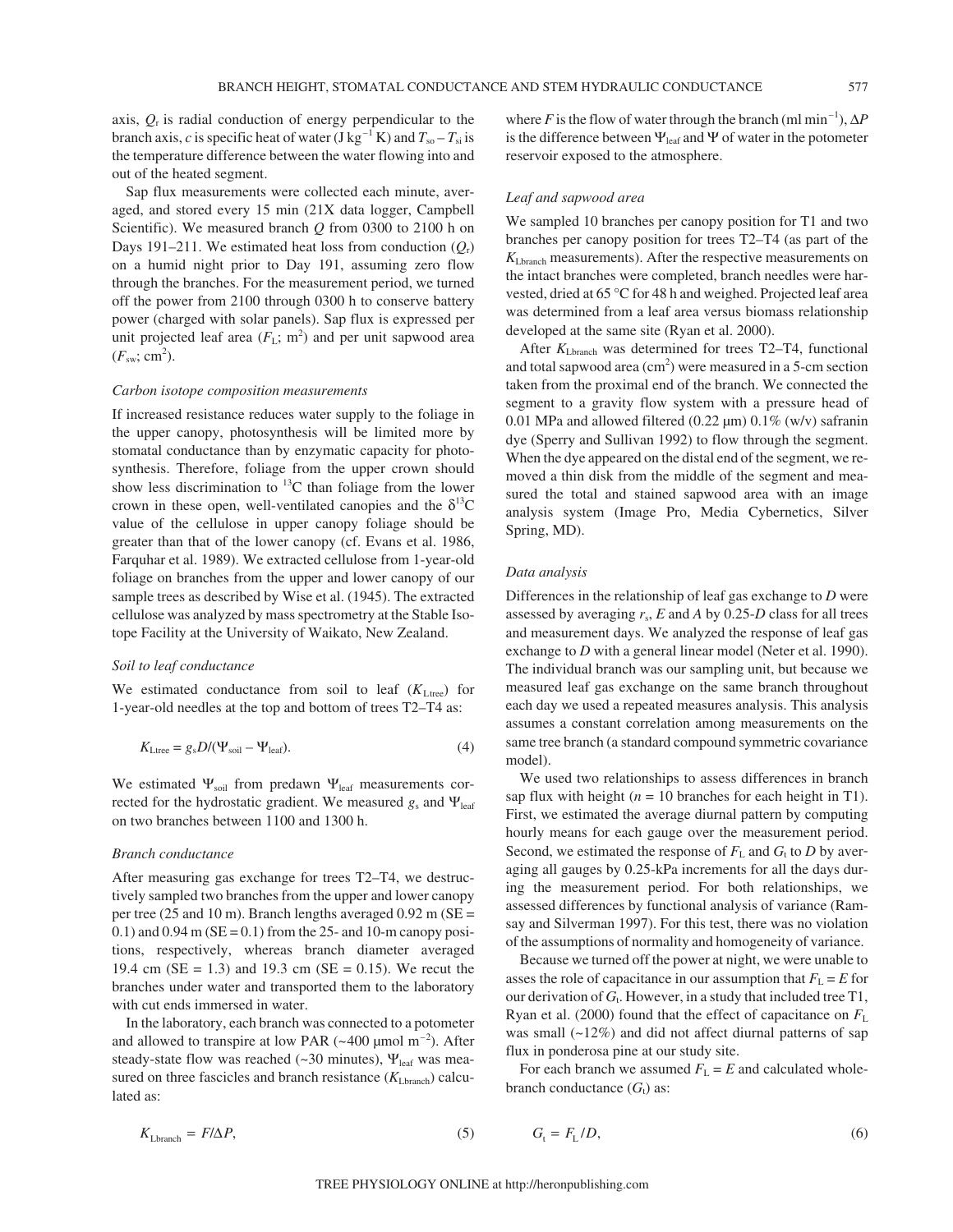axis, *Q*<sup>r</sup> is radial conduction of energy perpendicular to the branch axis, *c* is specific heat of water (J kg<sup>-1</sup> K) and  $T_{so} - T_{si}$  is the temperature difference between the water flowing into and out of the heated segment.

Sap flux measurements were collected each minute, averaged, and stored every 15 min (21X data logger, Campbell Scientific). We measured branch *Q* from 0300 to 2100 h on Days 191–211. We estimated heat loss from conduction (*Q*r) on a humid night prior to Day 191, assuming zero flow through the branches. For the measurement period, we turned off the power from 2100 through 0300 h to conserve battery power (charged with solar panels). Sap flux is expressed per unit projected leaf area  $(F_L; m^2)$  and per unit sapwood area  $(F_{sw}; \text{ cm}^2).$ 

## *Carbon isotope composition measurements*

If increased resistance reduces water supply to the foliage in the upper canopy, photosynthesis will be limited more by stomatal conductance than by enzymatic capacity for photosynthesis. Therefore, foliage from the upper crown should show less discrimination to  $^{13}$ C than foliage from the lower crown in these open, well-ventilated canopies and the  $\delta^{13}C$ value of the cellulose in upper canopy foliage should be greater than that of the lower canopy (cf. Evans et al. 1986, Farquhar et al. 1989). We extracted cellulose from 1-year-old foliage on branches from the upper and lower canopy of our sample trees as described by Wise et al. (1945). The extracted cellulose was analyzed by mass spectrometry at the Stable Isotope Facility at the University of Waikato, New Zealand.

#### *Soil to leaf conductance*

We estimated conductance from soil to leaf  $(K<sub>Ltree</sub>)$  for 1-year-old needles at the top and bottom of trees T2–T4 as:

$$
K_{\text{Ltree}} = g_s D / (\Psi_{\text{soil}} - \Psi_{\text{leaf}}). \tag{4}
$$

We estimated  $\Psi_{\text{soil}}$  from predawn  $\Psi_{\text{leaf}}$  measurements corrected for the hydrostatic gradient. We measured  $g_s$  and  $\Psi_{\text{leaf}}$ on two branches between 1100 and 1300 h.

#### *Branch conductance*

After measuring gas exchange for trees T2–T4, we destructively sampled two branches from the upper and lower canopy per tree (25 and 10 m). Branch lengths averaged 0.92 m (SE = 0.1) and  $0.94$  m (SE = 0.1) from the 25- and 10-m canopy positions, respectively, whereas branch diameter averaged 19.4 cm ( $SE = 1.3$ ) and 19.3 cm ( $SE = 0.15$ ). We recut the branches under water and transported them to the laboratory with cut ends immersed in water.

In the laboratory, each branch was connected to a potometer and allowed to transpire at low PAR  $({\sim}400 \mu mol m^{-2})$ . After steady-state flow was reached (~30 minutes), Ψ<sub>leaf</sub> was measured on three fascicles and branch resistance ( $K_{\text{Lbranch}}$ ) calculated as:

where *F* is the flow of water through the branch (ml min<sup>-1</sup>),  $\Delta P$ is the difference between  $\Psi_{\text{leaf}}$  and  $\Psi$  of water in the potometer reservoir exposed to the atmosphere.

# *Leaf and sapwood area*

We sampled 10 branches per canopy position for T1 and two branches per canopy position for trees T2–T4 (as part of the *K*Lbranch measurements). After the respective measurements on the intact branches were completed, branch needles were harvested, dried at 65 °C for 48 h and weighed. Projected leaf area was determined from a leaf area versus biomass relationship developed at the same site (Ryan et al. 2000).

After  $K_{\text{Lbranch}}$  was determined for trees T2–T4, functional and total sapwood area  $(cm<sup>2</sup>)$  were measured in a 5-cm section taken from the proximal end of the branch. We connected the segment to a gravity flow system with a pressure head of 0.01 MPa and allowed filtered (0.22  $\mu$ m) 0.1% (w/v) safranin dye (Sperry and Sullivan 1992) to flow through the segment. When the dye appeared on the distal end of the segment, we removed a thin disk from the middle of the segment and measured the total and stained sapwood area with an image analysis system (Image Pro, Media Cybernetics, Silver Spring, MD).

#### *Data analysis*

Differences in the relationship of leaf gas exchange to *D* were assessed by averaging *r*s, *E* and *A* by 0.25-*D* class for all trees and measurement days. We analyzed the response of leaf gas exchange to *D* with a general linear model (Neter et al. 1990). The individual branch was our sampling unit, but because we measured leaf gas exchange on the same branch throughout each day we used a repeated measures analysis. This analysis assumes a constant correlation among measurements on the same tree branch (a standard compound symmetric covariance model).

We used two relationships to assess differences in branch sap flux with height  $(n = 10$  branches for each height in T1). First, we estimated the average diurnal pattern by computing hourly means for each gauge over the measurement period. Second, we estimated the response of  $F<sub>L</sub>$  and  $G<sub>t</sub>$  to *D* by averaging all gauges by 0.25-kPa increments for all the days during the measurement period. For both relationships, we assessed differences by functional analysis of variance (Ramsay and Silverman 1997). For this test, there was no violation of the assumptions of normality and homogeneity of variance.

Because we turned off the power at night, we were unable to asses the role of capacitance in our assumption that  $F<sub>L</sub> = E$  for our derivation of  $G_t$ . However, in a study that included tree T1, Ryan et al. (2000) found that the effect of capacitance on *F*<sup>L</sup> was small (~12%) and did not affect diurnal patterns of sap flux in ponderosa pine at our study site.

For each branch we assumed  $F<sub>L</sub> = E$  and calculated wholebranch conductance  $(G_t)$  as:

 $F_{\rm L}/D$ , (6)

$$
K_{\text{Lbranch}} = F/\Delta P, \tag{5}
$$

TREE PHYSIOLOGY ONLINE at http://heronpublishing.com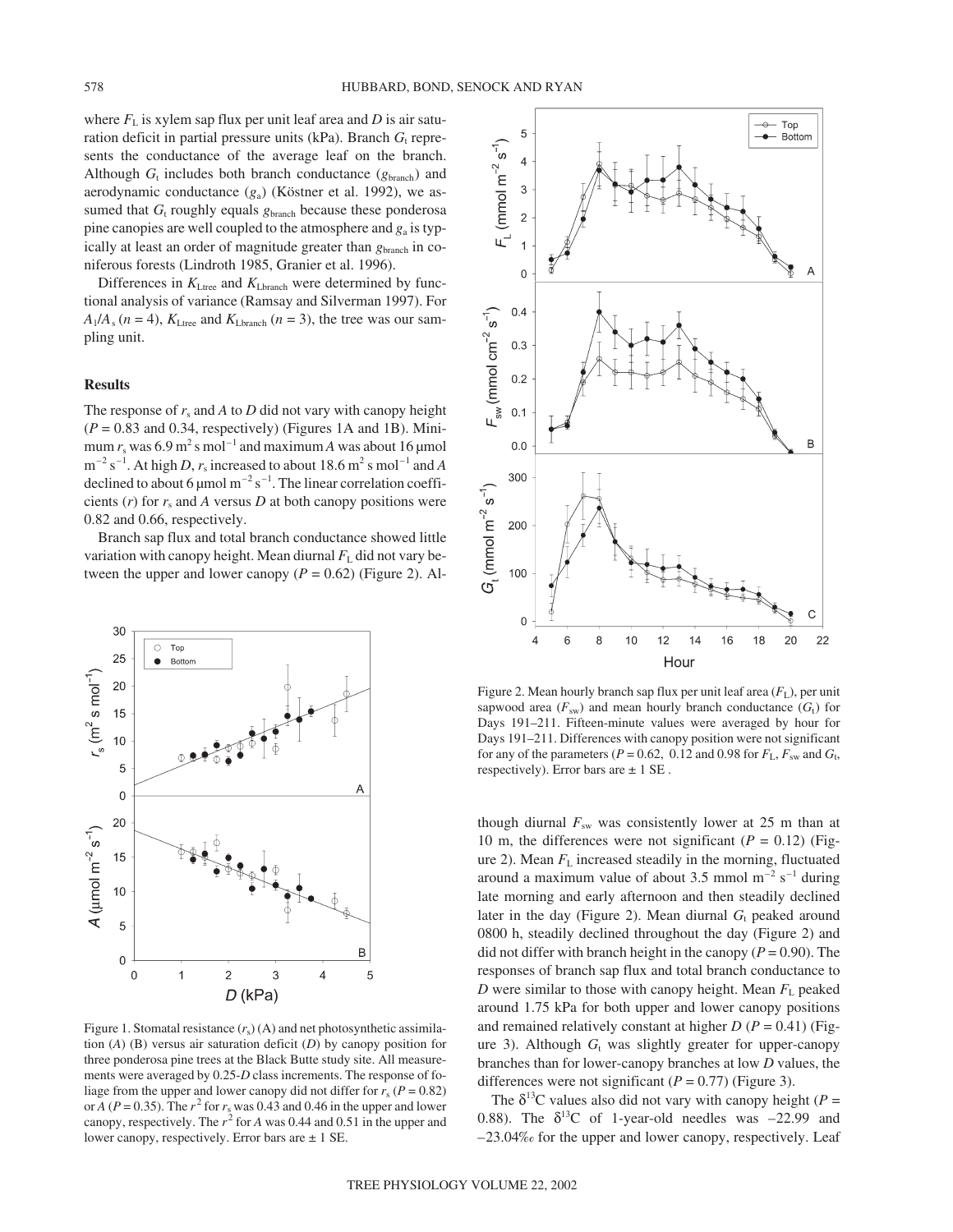where  $F<sub>L</sub>$  is xylem sap flux per unit leaf area and *D* is air saturation deficit in partial pressure units (kPa). Branch  $G_t$  represents the conductance of the average leaf on the branch. Although  $G_t$  includes both branch conductance  $(g_{branch})$  and aerodynamic conductance (*g*a) (Köstner et al. 1992), we assumed that  $G_t$  roughly equals  $g_{branch}$  because these ponderosa pine canopies are well coupled to the atmosphere and *g*<sup>a</sup> is typically at least an order of magnitude greater than  $g_{\text{branch}}$  in coniferous forests (Lindroth 1985, Granier et al. 1996).

Differences in  $K_{\text{Ltree}}$  and  $K_{\text{Lbranch}}$  were determined by functional analysis of variance (Ramsay and Silverman 1997). For  $A_1/A_s$  ( $n = 4$ ),  $K_{\text{Ltree}}$  and  $K_{\text{Lbranch}}$  ( $n = 3$ ), the tree was our sampling unit.

## **Results**

The response of  $r_s$  and  $A$  to  $D$  did not vary with canopy height  $(P = 0.83$  and 0.34, respectively) (Figures 1A and 1B). Minimum  $r_s$  was 6.9 m<sup>2</sup> s mol<sup>-1</sup> and maximum *A* was about 16 µmol  $m^{-2}$  s<sup>-1</sup>. At high *D*,  $r_s$  increased to about 18.6  $m^2$  s mol<sup>-1</sup> and *A* declined to about 6 µmol  $m^{-2} s^{-1}$ . The linear correlation coefficients  $(r)$  for  $r_s$  and  $A$  versus  $D$  at both canopy positions were 0.82 and 0.66, respectively.

Branch sap flux and total branch conductance showed little variation with canopy height. Mean diurnal  $F<sub>L</sub>$  did not vary between the upper and lower canopy  $(P = 0.62)$  (Figure 2). Al-



Figure 1. Stomatal resistance  $(r_s)$  (A) and net photosynthetic assimilation (*A*) (B) versus air saturation deficit (*D*) by canopy position for three ponderosa pine trees at the Black Butte study site. All measurements were averaged by 0.25-*D* class increments. The response of foliage from the upper and lower canopy did not differ for  $r_s$  ( $P = 0.82$ ) or *A* ( $P = 0.35$ ). The  $r^2$  for  $r_s$  was 0.43 and 0.46 in the upper and lower canopy, respectively. The  $r^2$  for *A* was 0.44 and 0.51 in the upper and lower canopy, respectively. Error bars are ± 1 SE.



Figure 2. Mean hourly branch sap flux per unit leaf area  $(F<sub>L</sub>)$ , per unit sapwood area  $(F_{sw})$  and mean hourly branch conductance  $(G_t)$  for Days 191–211. Fifteen-minute values were averaged by hour for Days 191–211. Differences with canopy position were not significant for any of the parameters ( $P = 0.62$ , 0.12 and 0.98 for  $F_L$ ,  $F_{sw}$  and  $G_t$ , respectively). Error bars are ± 1 SE .

though diurnal  $F_{sw}$  was consistently lower at 25 m than at 10 m, the differences were not significant  $(P = 0.12)$  (Figure 2). Mean  $F<sub>L</sub>$  increased steadily in the morning, fluctuated around a maximum value of about 3.5 mmol  $m^{-2}$  s<sup>-1</sup> during late morning and early afternoon and then steadily declined later in the day (Figure 2). Mean diurnal  $G_t$  peaked around 0800 h, steadily declined throughout the day (Figure 2) and did not differ with branch height in the canopy ( $P = 0.90$ ). The responses of branch sap flux and total branch conductance to *D* were similar to those with canopy height. Mean  $F<sub>L</sub>$  peaked around 1.75 kPa for both upper and lower canopy positions and remained relatively constant at higher  $D (P = 0.41)$  (Figure 3). Although  $G_t$  was slightly greater for upper-canopy branches than for lower-canopy branches at low *D* values, the differences were not significant  $(P = 0.77)$  (Figure 3).

The  $\delta^{13}$ C values also did not vary with canopy height (*P* = 0.88). The  $\delta^{13}C$  of 1-year-old needles was -22.99 and –23.04‰ for the upper and lower canopy, respectively. Leaf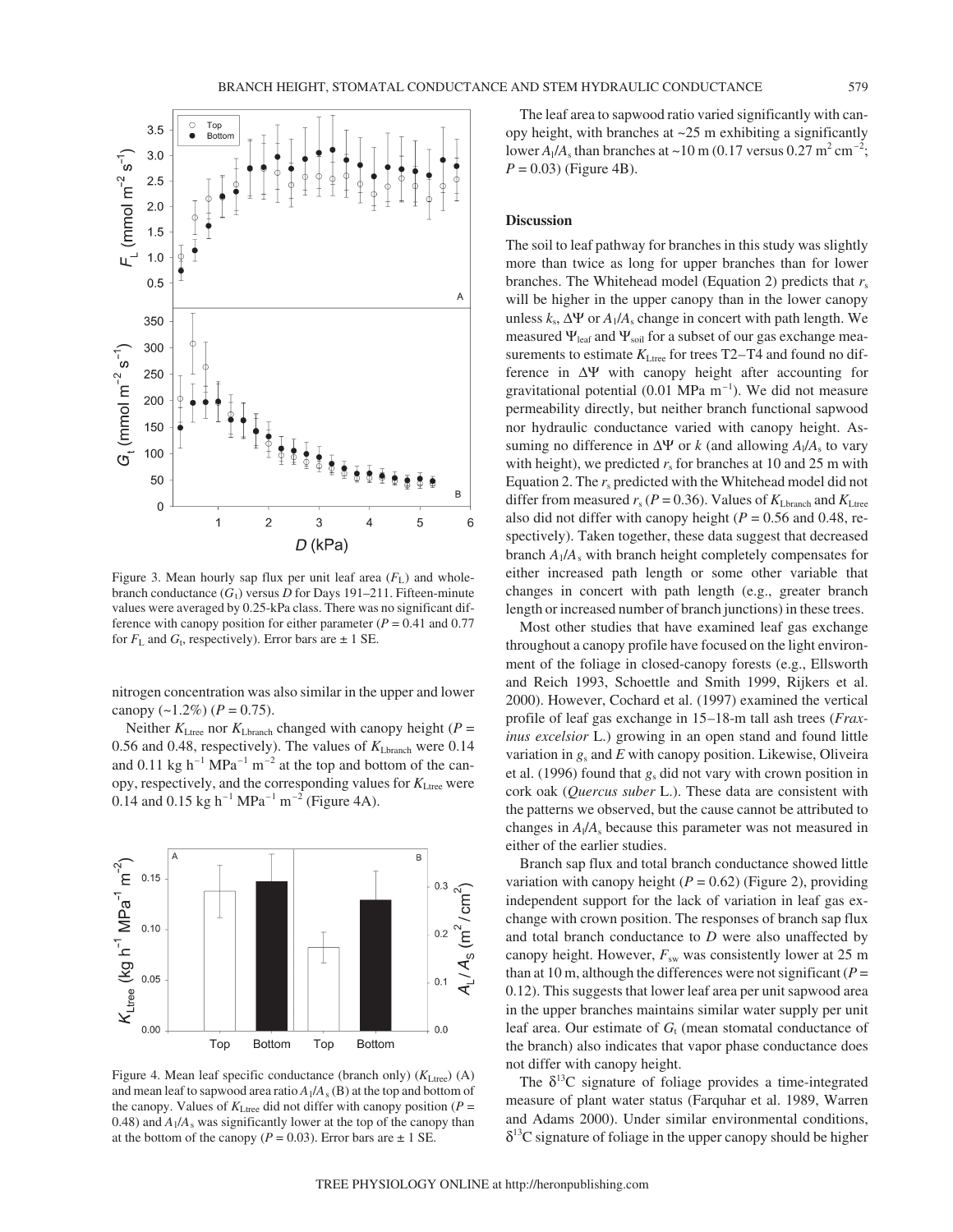

Figure 3. Mean hourly sap flux per unit leaf area  $(F<sub>L</sub>)$  and wholebranch conductance  $(G_t)$  versus *D* for Days 191–211. Fifteen-minute values were averaged by 0.25-kPa class. There was no significant difference with canopy position for either parameter ( $P = 0.41$  and 0.77 for  $F_L$  and  $G_t$ , respectively). Error bars are  $\pm$  1 SE.

nitrogen concentration was also similar in the upper and lower canopy  $(-1.2\%) (P = 0.75)$ .

Neither  $K_{\text{Ltree}}$  nor  $K_{\text{Lbranch}}$  changed with canopy height ( $P =$ 0.56 and 0.48, respectively). The values of *K*Lbranch were 0.14 and 0.11 kg  $h^{-1}$  MPa<sup>-1</sup> m<sup>-2</sup> at the top and bottom of the canopy, respectively, and the corresponding values for *K*Ltree were 0.14 and 0.15 kg h<sup>-1</sup> MPa<sup>-1</sup> m<sup>-2</sup> (Figure 4A).



Figure 4. Mean leaf specific conductance (branch only)  $(K<sub>Ltree</sub>)$  (A) and mean leaf to sapwood area ratio  $A_1/A_s$  (B) at the top and bottom of the canopy. Values of  $K_{\text{LTE}}$  did not differ with canopy position ( $P =$ 0.48) and  $A_1/A_s$  was significantly lower at the top of the canopy than at the bottom of the canopy ( $P = 0.03$ ). Error bars are  $\pm 1$  SE.

The leaf area to sapwood ratio varied significantly with canopy height, with branches at  $\sim$  25 m exhibiting a significantly lower  $A_l/A_s$  than branches at  $\sim$ 10 m (0.17 versus 0.27 m<sup>2</sup> cm<sup>-2</sup>;  $P = 0.03$ ) (Figure 4B).

# **Discussion**

The soil to leaf pathway for branches in this study was slightly more than twice as long for upper branches than for lower branches. The Whitehead model (Equation 2) predicts that *r*<sup>s</sup> will be higher in the upper canopy than in the lower canopy unless  $k_s$ ,  $\Delta \Psi$  or  $A_1/A_s$  change in concert with path length. We measured  $\Psi_{\text{leaf}}$  and  $\Psi_{\text{sol}}$  for a subset of our gas exchange measurements to estimate  $K_{\text{Ltree}}$  for trees T2–T4 and found no difference in ∆Ψ with canopy height after accounting for gravitational potential  $(0.01 \text{ MPa m}^{-1})$ . We did not measure permeability directly, but neither branch functional sapwood nor hydraulic conductance varied with canopy height. Assuming no difference in  $\Delta \Psi$  or *k* (and allowing  $A_1/A_s$  to vary with height), we predicted  $r<sub>s</sub>$  for branches at 10 and 25 m with Equation 2. The  $r_s$  predicted with the Whitehead model did not differ from measured  $r_s$  ( $P = 0.36$ ). Values of  $K_{\text{Lbranch}}$  and  $K_{\text{Ltree}}$ also did not differ with canopy height ( $P = 0.56$  and 0.48, respectively). Taken together, these data suggest that decreased branch  $A_1/A_s$  with branch height completely compensates for either increased path length or some other variable that changes in concert with path length (e.g., greater branch length or increased number of branch junctions) in these trees.

Most other studies that have examined leaf gas exchange throughout a canopy profile have focused on the light environment of the foliage in closed-canopy forests (e.g., Ellsworth and Reich 1993, Schoettle and Smith 1999, Rijkers et al. 2000). However, Cochard et al. (1997) examined the vertical profile of leaf gas exchange in 15–18-m tall ash trees (*Fraxinus excelsior* L.) growing in an open stand and found little variation in *g*<sup>s</sup> and *E* with canopy position. Likewise, Oliveira et al. (1996) found that *g*<sup>s</sup> did not vary with crown position in cork oak (*Quercus suber* L.). These data are consistent with the patterns we observed, but the cause cannot be attributed to changes in *A*l/*A*<sup>s</sup> because this parameter was not measured in either of the earlier studies.

Branch sap flux and total branch conductance showed little variation with canopy height  $(P = 0.62)$  (Figure 2), providing independent support for the lack of variation in leaf gas exchange with crown position. The responses of branch sap flux and total branch conductance to *D* were also unaffected by canopy height. However,  $F_{sw}$  was consistently lower at 25 m than at 10 m, although the differences were not significant ( $P =$ 0.12). This suggests that lower leaf area per unit sapwood area in the upper branches maintains similar water supply per unit leaf area. Our estimate of  $G_t$  (mean stomatal conductance of the branch) also indicates that vapor phase conductance does not differ with canopy height.

The  $\delta^{13}$ C signature of foliage provides a time-integrated measure of plant water status (Farquhar et al. 1989, Warren and Adams 2000). Under similar environmental conditions,  $\delta^{13}$ C signature of foliage in the upper canopy should be higher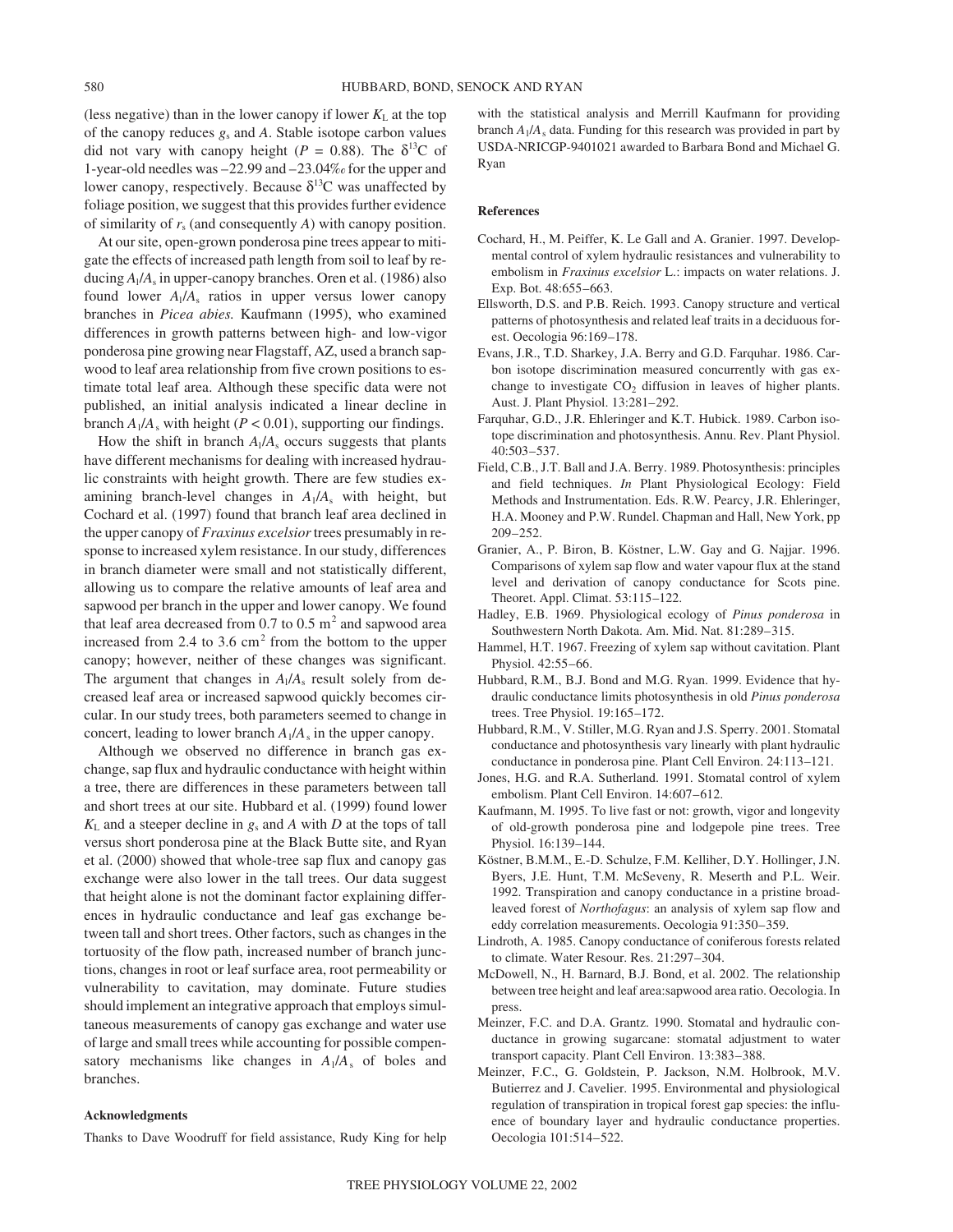(less negative) than in the lower canopy if lower  $K<sub>L</sub>$  at the top of the canopy reduces *g*<sup>s</sup> and *A*. Stable isotope carbon values did not vary with canopy height ( $P = 0.88$ ). The  $\delta^{13}C$  of 1-year-old needles was –22.99 and –23.04‰ for the upper and lower canopy, respectively. Because  $\delta^{13}$ C was unaffected by foliage position, we suggest that this provides further evidence of similarity of *r*<sup>s</sup> (and consequently *A*) with canopy position.

At our site, open-grown ponderosa pine trees appear to mitigate the effects of increased path length from soil to leaf by reducing  $A_1/A_s$  in upper-canopy branches. Oren et al. (1986) also found lower  $A_1/A_s$  ratios in upper versus lower canopy branches in *Picea abies.* Kaufmann (1995), who examined differences in growth patterns between high- and low-vigor ponderosa pine growing near Flagstaff, AZ, used a branch sapwood to leaf area relationship from five crown positions to estimate total leaf area. Although these specific data were not published, an initial analysis indicated a linear decline in branch  $A_1/A_s$  with height ( $P < 0.01$ ), supporting our findings.

How the shift in branch  $A_1/A_s$  occurs suggests that plants have different mechanisms for dealing with increased hydraulic constraints with height growth. There are few studies examining branch-level changes in *A*l/*A*<sup>s</sup> with height, but Cochard et al. (1997) found that branch leaf area declined in the upper canopy of *Fraxinus excelsior*trees presumably in response to increased xylem resistance. In our study, differences in branch diameter were small and not statistically different, allowing us to compare the relative amounts of leaf area and sapwood per branch in the upper and lower canopy. We found that leaf area decreased from  $0.7$  to  $0.5$  m<sup>2</sup> and sapwood area increased from  $2.4$  to  $3.6 \text{ cm}^2$  from the bottom to the upper canopy; however, neither of these changes was significant. The argument that changes in  $A_1/A_s$  result solely from decreased leaf area or increased sapwood quickly becomes circular. In our study trees, both parameters seemed to change in concert, leading to lower branch  $A_1/A_s$  in the upper canopy.

Although we observed no difference in branch gas exchange, sap flux and hydraulic conductance with height within a tree, there are differences in these parameters between tall and short trees at our site. Hubbard et al. (1999) found lower  $K_L$  and a steeper decline in  $g_s$  and *A* with *D* at the tops of tall versus short ponderosa pine at the Black Butte site, and Ryan et al. (2000) showed that whole-tree sap flux and canopy gas exchange were also lower in the tall trees. Our data suggest that height alone is not the dominant factor explaining differences in hydraulic conductance and leaf gas exchange between tall and short trees. Other factors, such as changes in the tortuosity of the flow path, increased number of branch junctions, changes in root or leaf surface area, root permeability or vulnerability to cavitation, may dominate. Future studies should implement an integrative approach that employs simultaneous measurements of canopy gas exchange and water use of large and small trees while accounting for possible compensatory mechanisms like changes in  $A_1/A_s$  of boles and branches.

#### **Acknowledgments**

Thanks to Dave Woodruff for field assistance, Rudy King for help

with the statistical analysis and Merrill Kaufmann for providing branch *A*l/*A*<sup>s</sup> data. Funding for this research was provided in part by USDA-NRICGP-9401021 awarded to Barbara Bond and Michael G. Ryan

#### **References**

- Cochard, H., M. Peiffer, K. Le Gall and A. Granier. 1997. Developmental control of xylem hydraulic resistances and vulnerability to embolism in *Fraxinus excelsior* L.: impacts on water relations. J. Exp. Bot. 48:655–663.
- Ellsworth, D.S. and P.B. Reich. 1993. Canopy structure and vertical patterns of photosynthesis and related leaf traits in a deciduous forest. Oecologia 96:169–178.
- Evans, J.R., T.D. Sharkey, J.A. Berry and G.D. Farquhar. 1986. Carbon isotope discrimination measured concurrently with gas exchange to investigate  $CO<sub>2</sub>$  diffusion in leaves of higher plants. Aust. J. Plant Physiol. 13:281–292.
- Farquhar, G.D., J.R. Ehleringer and K.T. Hubick. 1989. Carbon isotope discrimination and photosynthesis. Annu. Rev. Plant Physiol. 40:503–537.
- Field, C.B., J.T. Ball and J.A. Berry. 1989. Photosynthesis: principles and field techniques. *In* Plant Physiological Ecology: Field Methods and Instrumentation. Eds. R.W. Pearcy, J.R. Ehleringer, H.A. Mooney and P.W. Rundel. Chapman and Hall, New York, pp 209–252.
- Granier, A., P. Biron, B. Köstner, L.W. Gay and G. Najjar. 1996. Comparisons of xylem sap flow and water vapour flux at the stand level and derivation of canopy conductance for Scots pine. Theoret. Appl. Climat. 53:115–122.
- Hadley, E.B. 1969. Physiological ecology of *Pinus ponderosa* in Southwestern North Dakota. Am. Mid. Nat. 81:289–315.
- Hammel, H.T. 1967. Freezing of xylem sap without cavitation. Plant Physiol. 42:55–66.
- Hubbard, R.M., B.J. Bond and M.G. Ryan. 1999. Evidence that hydraulic conductance limits photosynthesis in old *Pinus ponderosa* trees. Tree Physiol. 19:165–172.
- Hubbard, R.M., V. Stiller, M.G. Ryan and J.S. Sperry. 2001. Stomatal conductance and photosynthesis vary linearly with plant hydraulic conductance in ponderosa pine. Plant Cell Environ. 24:113–121.
- Jones, H.G. and R.A. Sutherland. 1991. Stomatal control of xylem embolism. Plant Cell Environ. 14:607–612.
- Kaufmann, M. 1995. To live fast or not: growth, vigor and longevity of old-growth ponderosa pine and lodgepole pine trees. Tree Physiol. 16:139–144.
- Köstner, B.M.M., E.-D. Schulze, F.M. Kelliher, D.Y. Hollinger, J.N. Byers, J.E. Hunt, T.M. McSeveny, R. Meserth and P.L. Weir. 1992. Transpiration and canopy conductance in a pristine broadleaved forest of *Northofagus*: an analysis of xylem sap flow and eddy correlation measurements. Oecologia 91:350–359.
- Lindroth, A. 1985. Canopy conductance of coniferous forests related to climate. Water Resour. Res. 21:297–304.
- McDowell, N., H. Barnard, B.J. Bond, et al. 2002. The relationship between tree height and leaf area:sapwood area ratio. Oecologia. In press.
- Meinzer, F.C. and D.A. Grantz. 1990. Stomatal and hydraulic conductance in growing sugarcane: stomatal adjustment to water transport capacity. Plant Cell Environ. 13:383–388.
- Meinzer, F.C., G. Goldstein, P. Jackson, N.M. Holbrook, M.V. Butierrez and J. Cavelier. 1995. Environmental and physiological regulation of transpiration in tropical forest gap species: the influence of boundary layer and hydraulic conductance properties. Oecologia 101:514–522.